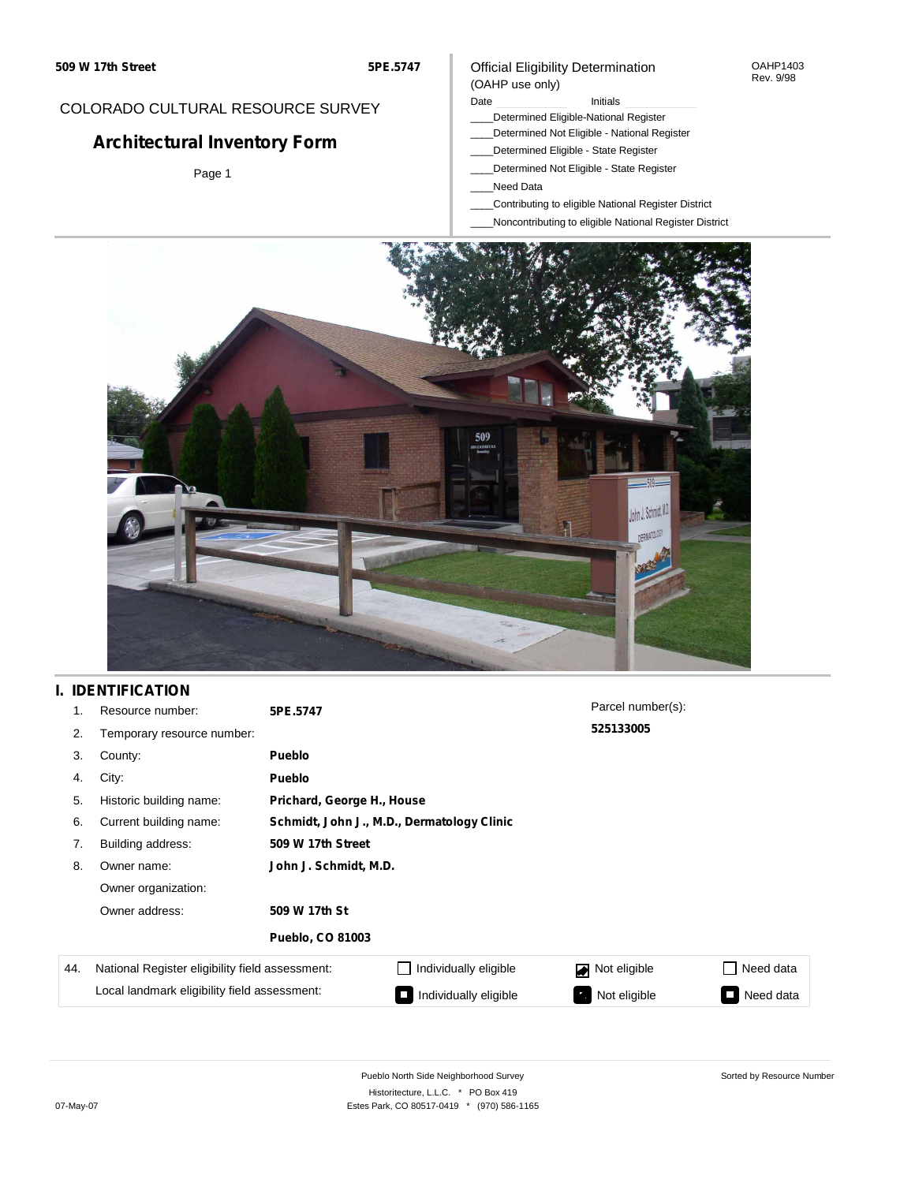## COLORADO CULTURAL RESOURCE SURVEY

# **Architectural Inventory Form**

Page 1

### Official Eligibility Determination (OAHP use only)

Date **Initials** Initials

- \_\_\_\_Determined Eligible-National Register
- \_\_\_\_Determined Not Eligible National Register
- \_\_\_\_Determined Eligible State Register
- \_\_\_\_Determined Not Eligible State Register
- \_\_\_\_Need Data
- \_\_\_\_Contributing to eligible National Register District
- \_\_\_\_Noncontributing to eligible National Register District



## **I. IDENTIFICATION**

| 1.                                           | Resource number:                                | 5PE.5747                                   |                            | Parcel number(s): |           |  |  |  |  |
|----------------------------------------------|-------------------------------------------------|--------------------------------------------|----------------------------|-------------------|-----------|--|--|--|--|
| 2.                                           | Temporary resource number:                      |                                            | 525133005                  |                   |           |  |  |  |  |
| 3.                                           | County:                                         | Pueblo                                     |                            |                   |           |  |  |  |  |
| 4.                                           | City:                                           | <b>Pueblo</b>                              |                            |                   |           |  |  |  |  |
| 5.                                           | Historic building name:                         |                                            | Prichard, George H., House |                   |           |  |  |  |  |
| 6.                                           | Current building name:                          | Schmidt, John J., M.D., Dermatology Clinic |                            |                   |           |  |  |  |  |
| 7.                                           | Building address:                               | 509 W 17th Street                          |                            |                   |           |  |  |  |  |
| 8.                                           | Owner name:                                     | John J. Schmidt, M.D.                      |                            |                   |           |  |  |  |  |
|                                              | Owner organization:                             |                                            |                            |                   |           |  |  |  |  |
|                                              | Owner address:                                  | 509 W 17th St                              |                            |                   |           |  |  |  |  |
|                                              |                                                 | <b>Pueblo, CO 81003</b>                    |                            |                   |           |  |  |  |  |
| 44.                                          | National Register eligibility field assessment: |                                            | Individually eligible      | Not eligible      | Need data |  |  |  |  |
| Local landmark eligibility field assessment: |                                                 |                                            | Individually eligible      | Not eligible      | Need data |  |  |  |  |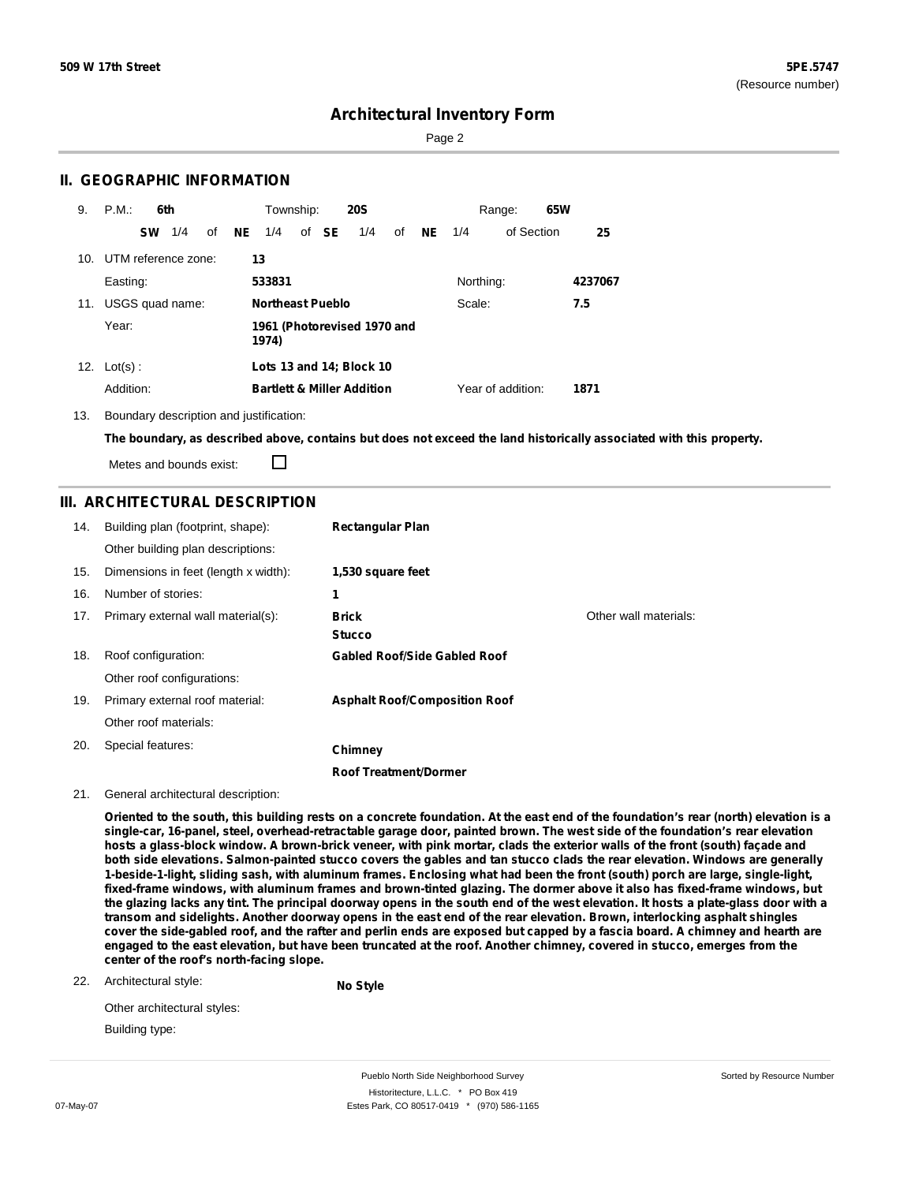Sorted by Resource Number

## **Architectural Inventory Form**

Page 2

### **II. GEOGRAPHIC INFORMATION**

| 9.  | P.M.                    | 6th |    |    | Township:               |       | <b>20S</b>                            |    |           |           | Range:            | 65W |         |
|-----|-------------------------|-----|----|----|-------------------------|-------|---------------------------------------|----|-----------|-----------|-------------------|-----|---------|
|     | <b>SW</b>               | 1/4 | οf | NE | 1/4                     | of SE | 1/4                                   | of | <b>NE</b> | 1/4       | of Section        |     | 25      |
|     | 10. UTM reference zone: |     |    |    | 13                      |       |                                       |    |           |           |                   |     |         |
|     | Easting:                |     |    |    | 533831                  |       |                                       |    |           | Northing: |                   |     | 4237067 |
| 11. | USGS quad name:         |     |    |    | <b>Northeast Pueblo</b> |       |                                       |    |           | Scale:    |                   |     | 7.5     |
|     | Year:                   |     |    |    | 1974)                   |       | 1961 (Photorevised 1970 and           |    |           |           |                   |     |         |
|     | 12. $Lot(s)$ :          |     |    |    |                         |       | Lots 13 and 14; Block 10              |    |           |           |                   |     |         |
|     | Addition:               |     |    |    |                         |       | <b>Bartlett &amp; Miller Addition</b> |    |           |           | Year of addition: |     | 1871    |

13. Boundary description and justification:

The boundary, as described above, contains but does not exceed the land historically associated with this property.

Metes and bounds exist:

П

### **III. ARCHITECTURAL DESCRIPTION**

| 14. | Building plan (footprint, shape):    | <b>Rectangular Plan</b>              |                       |
|-----|--------------------------------------|--------------------------------------|-----------------------|
|     | Other building plan descriptions:    |                                      |                       |
| 15. | Dimensions in feet (length x width): | 1,530 square feet                    |                       |
| 16. | Number of stories:                   | 1                                    |                       |
| 17. | Primary external wall material(s):   | <b>Brick</b>                         | Other wall materials: |
|     |                                      | <b>Stucco</b>                        |                       |
| 18. | Roof configuration:                  | <b>Gabled Roof/Side Gabled Roof</b>  |                       |
|     | Other roof configurations:           |                                      |                       |
| 19. | Primary external roof material:      | <b>Asphalt Roof/Composition Roof</b> |                       |
|     | Other roof materials:                |                                      |                       |
| 20. | Special features:                    | Chimney                              |                       |
|     |                                      | <b>Roof Treatment/Dormer</b>         |                       |

#### 21. General architectural description:

Oriented to the south, this building rests on a concrete foundation. At the east end of the foundation's rear (north) elevation is a single-car, 16-panel, steel, overhead-retractable garage door, painted brown. The west side of the foundation's rear elevation hosts a glass-block window. A brown-brick veneer, with pink mortar, clads the exterior walls of the front (south) façade and both side elevations. Salmon-painted stucco covers the gables and tan stucco clads the rear elevation. Windows are generally 1-beside-1-light, sliding sash, with aluminum frames. Enclosing what had been the front (south) porch are large, single-light, fixed-frame windows, with aluminum frames and brown-tinted glazing. The dormer above it also has fixed-frame windows, but the glazing lacks any tint. The principal doorway opens in the south end of the west elevation. It hosts a plate-glass door with a transom and sidelights. Another doorway opens in the east end of the rear elevation. Brown, interlocking asphalt shingles cover the side-gabled roof, and the rafter and perlin ends are exposed but capped by a fascia board. A chimney and hearth are engaged to the east elevation, but have been truncated at the roof. Another chimney, covered in stucco, emerges from the **center of the roof's north-facing slope.**

22. Architectural style:

**No Style**

| Other architectural styles: |  |
|-----------------------------|--|
| Building type:              |  |

Pueblo North Side Neighborhood Survey Historitecture, L.L.C. \* PO Box 419 07-May-07 **Estes Park, CO 80517-0419** \* (970) 586-1165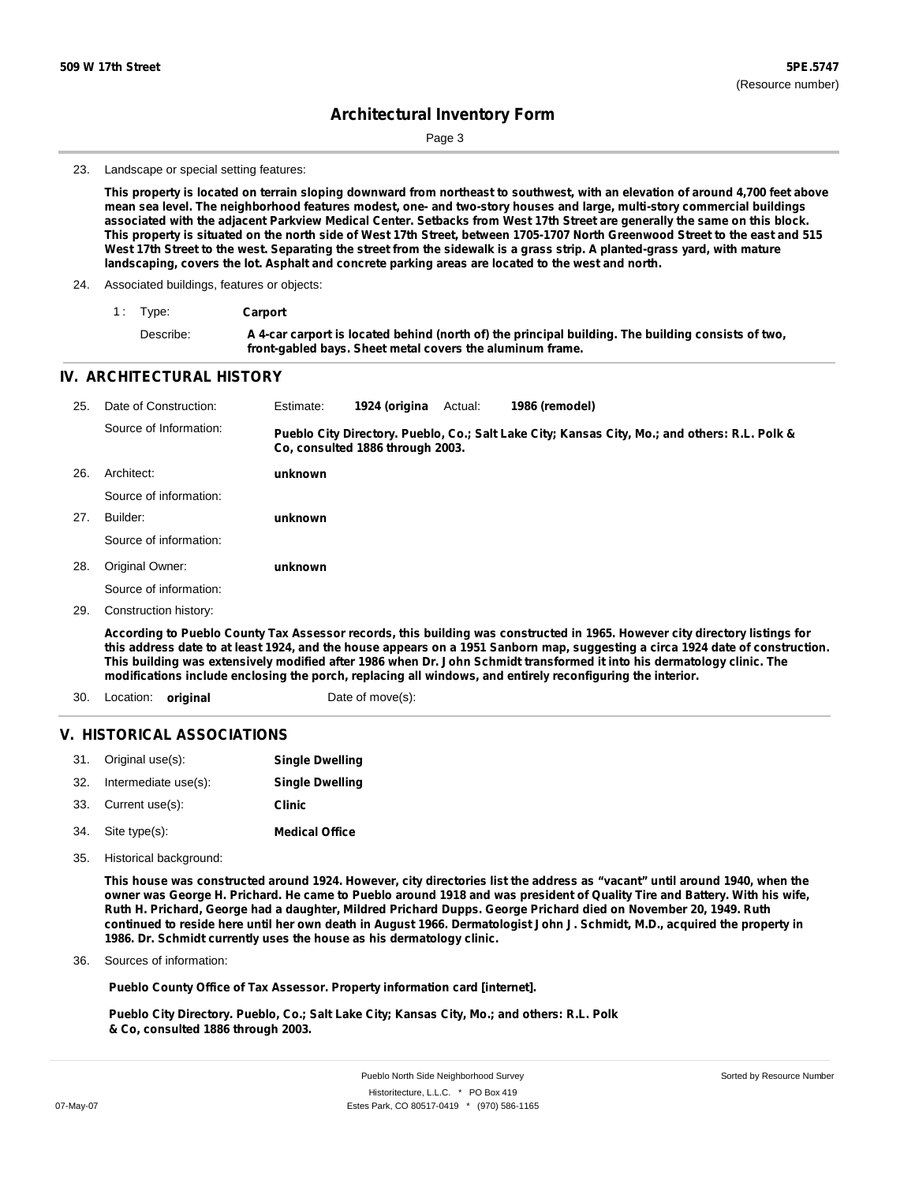Page 3

#### 23. Landscape or special setting features:

This property is located on terrain sloping downward from northeast to southwest, with an elevation of around 4,700 feet above mean sea level. The neighborhood features modest, one- and two-story houses and large, multi-story commercial buildings associated with the adjacent Parkview Medical Center. Setbacks from West 17th Street are generally the same on this block. This property is situated on the north side of West 17th Street, between 1705-1707 North Greenwood Street to the east and 515 West 17th Street to the west. Separating the street from the sidewalk is a grass strip. A planted-grass yard, with mature **landscaping, covers the lot. Asphalt and concrete parking areas are located to the west and north.**

#### 24. Associated buildings, features or objects:

| 1: Type:  | Carport                                                                                            |
|-----------|----------------------------------------------------------------------------------------------------|
| Describe: | A 4-car carport is located behind (north of) the principal building. The building consists of two, |
|           | front-gabled bays. Sheet metal covers the aluminum frame.                                          |

#### **IV. ARCHITECTURAL HISTORY**

| 25. | Date of Construction:  | Estimate: | 1924 (origina                    | Actual: | 1986 (remodel)                                                                                                              |
|-----|------------------------|-----------|----------------------------------|---------|-----------------------------------------------------------------------------------------------------------------------------|
|     | Source of Information: |           | Co. consulted 1886 through 2003. |         | Pueblo City Directory. Pueblo, Co.; Salt Lake City; Kansas City, Mo.; and others: R.L. Polk &                               |
| 26. | Architect:             | unknown   |                                  |         |                                                                                                                             |
|     | Source of information: |           |                                  |         |                                                                                                                             |
| 27. | Builder:               | unknown   |                                  |         |                                                                                                                             |
|     | Source of information: |           |                                  |         |                                                                                                                             |
| 28. | Original Owner:        | unknown   |                                  |         |                                                                                                                             |
|     | Source of information: |           |                                  |         |                                                                                                                             |
| 29. | Construction history:  |           |                                  |         |                                                                                                                             |
|     |                        |           |                                  |         | According to Pueblo County Tax Assessor records, this building was constructed in 1965. However city directory listings for |

this address date to at least 1924, and the house appears on a 1951 Sanborn map, suggesting a circa 1924 date of construction. This building was extensively modified after 1986 when Dr. John Schmidt transformed it into his dermatology clinic. The **modifications include enclosing the porch, replacing all windows, and entirely reconfiguring the interior.**

30. Location: **original Date of move(s):** 

### **V. HISTORICAL ASSOCIATIONS**

|     | 31. Original use(s): | <b>Single Dwelling</b> |
|-----|----------------------|------------------------|
| 32. | Intermediate use(s): | <b>Single Dwelling</b> |
|     | 33. Current use(s):  | Clinic                 |
| 34. | Site type(s):        | <b>Medical Office</b>  |

35. Historical background:

This house was constructed around 1924. However, city directories list the address as "vacant" until around 1940, when the owner was George H. Prichard. He came to Pueblo around 1918 and was president of Quality Tire and Battery. With his wife, Ruth H. Prichard, George had a daughter, Mildred Prichard Dupps. George Prichard died on November 20, 1949. Ruth continued to reside here until her own death in August 1966. Dermatologist John J. Schmidt, M.D., acquired the property in **1986. Dr. Schmidt currently uses the house as his dermatology clinic.**

Sources of information: 36.

**Pueblo County Office of Tax Assessor. Property information card [internet].**

**Pueblo City Directory. Pueblo, Co.; Salt Lake City; Kansas City, Mo.; and others: R.L. Polk & Co, consulted 1886 through 2003.**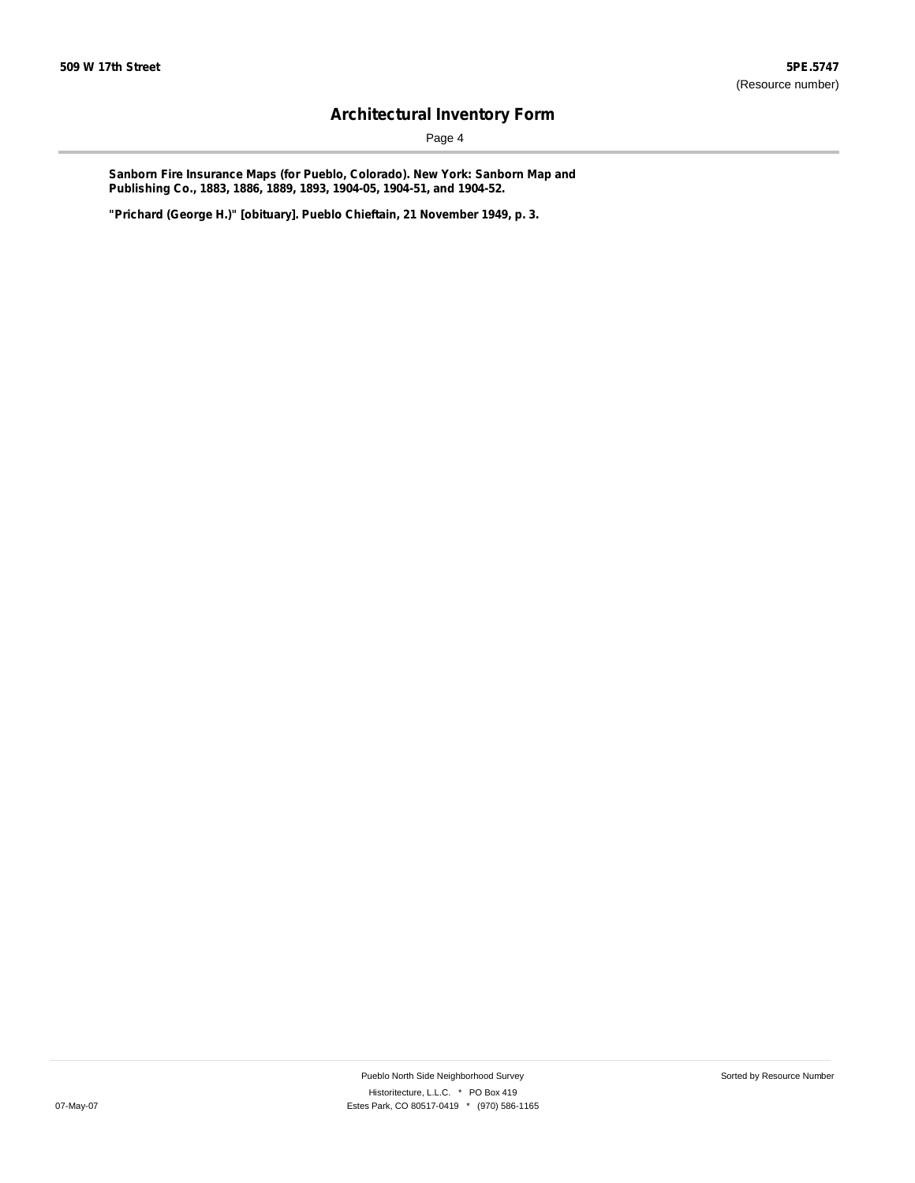Page 4

**Sanborn Fire Insurance Maps (for Pueblo, Colorado). New York: Sanborn Map and Publishing Co., 1883, 1886, 1889, 1893, 1904-05, 1904-51, and 1904-52.**

**"Prichard (George H.)" [obituary]. Pueblo Chieftain, 21 November 1949, p. 3.**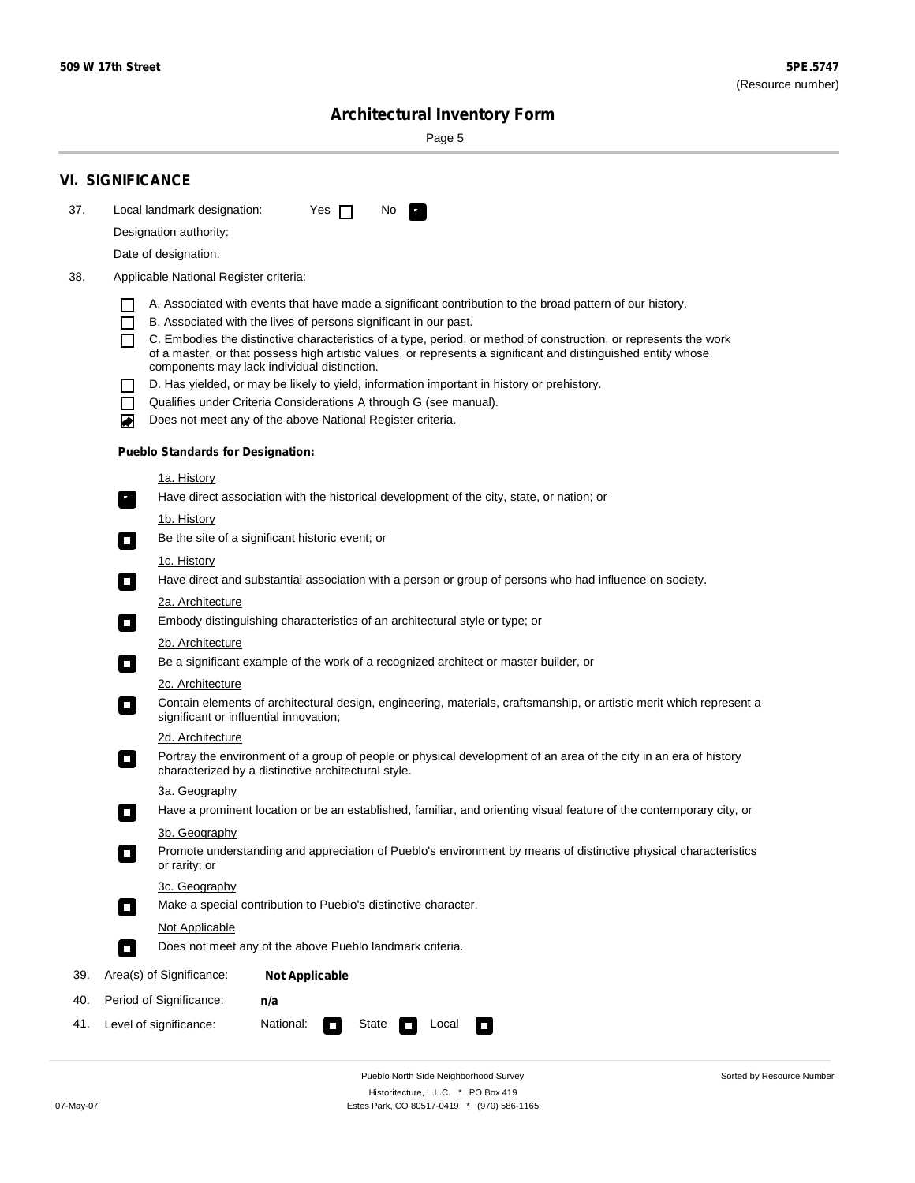Sorted by Resource Number

# **Architectural Inventory Form**

Page 5

|                                                                                                                                     | <b>VI. SIGNIFICANCE</b>                                                                                                                                                                        |  |  |  |  |  |  |  |
|-------------------------------------------------------------------------------------------------------------------------------------|------------------------------------------------------------------------------------------------------------------------------------------------------------------------------------------------|--|--|--|--|--|--|--|
| 37.                                                                                                                                 | Local landmark designation:<br>Yes $\Box$<br>No.<br>$\mathbf{F}_{\mathbf{r}}$                                                                                                                  |  |  |  |  |  |  |  |
|                                                                                                                                     | Designation authority:                                                                                                                                                                         |  |  |  |  |  |  |  |
|                                                                                                                                     | Date of designation:                                                                                                                                                                           |  |  |  |  |  |  |  |
| 38.                                                                                                                                 | Applicable National Register criteria:                                                                                                                                                         |  |  |  |  |  |  |  |
|                                                                                                                                     |                                                                                                                                                                                                |  |  |  |  |  |  |  |
|                                                                                                                                     | A. Associated with events that have made a significant contribution to the broad pattern of our history.<br>B. Associated with the lives of persons significant in our past.<br>$\blacksquare$ |  |  |  |  |  |  |  |
|                                                                                                                                     | C. Embodies the distinctive characteristics of a type, period, or method of construction, or represents the work<br>П                                                                          |  |  |  |  |  |  |  |
|                                                                                                                                     | of a master, or that possess high artistic values, or represents a significant and distinguished entity whose<br>components may lack individual distinction.                                   |  |  |  |  |  |  |  |
|                                                                                                                                     | D. Has yielded, or may be likely to yield, information important in history or prehistory.                                                                                                     |  |  |  |  |  |  |  |
|                                                                                                                                     | Qualifies under Criteria Considerations A through G (see manual).<br>$\sim$                                                                                                                    |  |  |  |  |  |  |  |
|                                                                                                                                     | Does not meet any of the above National Register criteria.<br>₩                                                                                                                                |  |  |  |  |  |  |  |
|                                                                                                                                     | <b>Pueblo Standards for Designation:</b>                                                                                                                                                       |  |  |  |  |  |  |  |
|                                                                                                                                     | 1a. History                                                                                                                                                                                    |  |  |  |  |  |  |  |
|                                                                                                                                     | $\overline{\mathbf{r}}_1$<br>Have direct association with the historical development of the city, state, or nation; or                                                                         |  |  |  |  |  |  |  |
|                                                                                                                                     | <u>1b. History</u>                                                                                                                                                                             |  |  |  |  |  |  |  |
| Be the site of a significant historic event; or<br>$\overline{\phantom{a}}$                                                         |                                                                                                                                                                                                |  |  |  |  |  |  |  |
|                                                                                                                                     | 1c. History                                                                                                                                                                                    |  |  |  |  |  |  |  |
| Have direct and substantial association with a person or group of persons who had influence on society.<br>$\overline{\phantom{a}}$ |                                                                                                                                                                                                |  |  |  |  |  |  |  |
|                                                                                                                                     | 2a. Architecture<br>Embody distinguishing characteristics of an architectural style or type; or                                                                                                |  |  |  |  |  |  |  |
|                                                                                                                                     | $\Box$                                                                                                                                                                                         |  |  |  |  |  |  |  |
|                                                                                                                                     | 2b. Architecture<br>Be a significant example of the work of a recognized architect or master builder, or<br>$\Box$                                                                             |  |  |  |  |  |  |  |
|                                                                                                                                     | 2c. Architecture                                                                                                                                                                               |  |  |  |  |  |  |  |
|                                                                                                                                     | Contain elements of architectural design, engineering, materials, craftsmanship, or artistic merit which represent a<br>$\Box$<br>significant or influential innovation;                       |  |  |  |  |  |  |  |
|                                                                                                                                     | 2d. Architecture                                                                                                                                                                               |  |  |  |  |  |  |  |
|                                                                                                                                     | Portray the environment of a group of people or physical development of an area of the city in an era of history<br>$\Box$<br>characterized by a distinctive architectural style.              |  |  |  |  |  |  |  |
|                                                                                                                                     | 3a. Geography                                                                                                                                                                                  |  |  |  |  |  |  |  |
|                                                                                                                                     | Have a prominent location or be an established, familiar, and orienting visual feature of the contemporary city, or                                                                            |  |  |  |  |  |  |  |
|                                                                                                                                     | 3b. Geography                                                                                                                                                                                  |  |  |  |  |  |  |  |
|                                                                                                                                     | Promote understanding and appreciation of Pueblo's environment by means of distinctive physical characteristics<br>or rarity; or                                                               |  |  |  |  |  |  |  |
|                                                                                                                                     | 3c. Geography                                                                                                                                                                                  |  |  |  |  |  |  |  |
|                                                                                                                                     | Make a special contribution to Pueblo's distinctive character.<br>$\overline{\phantom{a}}$                                                                                                     |  |  |  |  |  |  |  |
|                                                                                                                                     | <b>Not Applicable</b>                                                                                                                                                                          |  |  |  |  |  |  |  |
|                                                                                                                                     | Does not meet any of the above Pueblo landmark criteria.<br>$\overline{\phantom{a}}$                                                                                                           |  |  |  |  |  |  |  |
| 39.                                                                                                                                 | Area(s) of Significance:<br><b>Not Applicable</b>                                                                                                                                              |  |  |  |  |  |  |  |
| 40.                                                                                                                                 | Period of Significance:<br>n/a                                                                                                                                                                 |  |  |  |  |  |  |  |
| 41.                                                                                                                                 | Level of significance:<br>National:<br>State<br>Local<br>$\mathcal{L}_{\mathcal{A}}$<br>$\Box$                                                                                                 |  |  |  |  |  |  |  |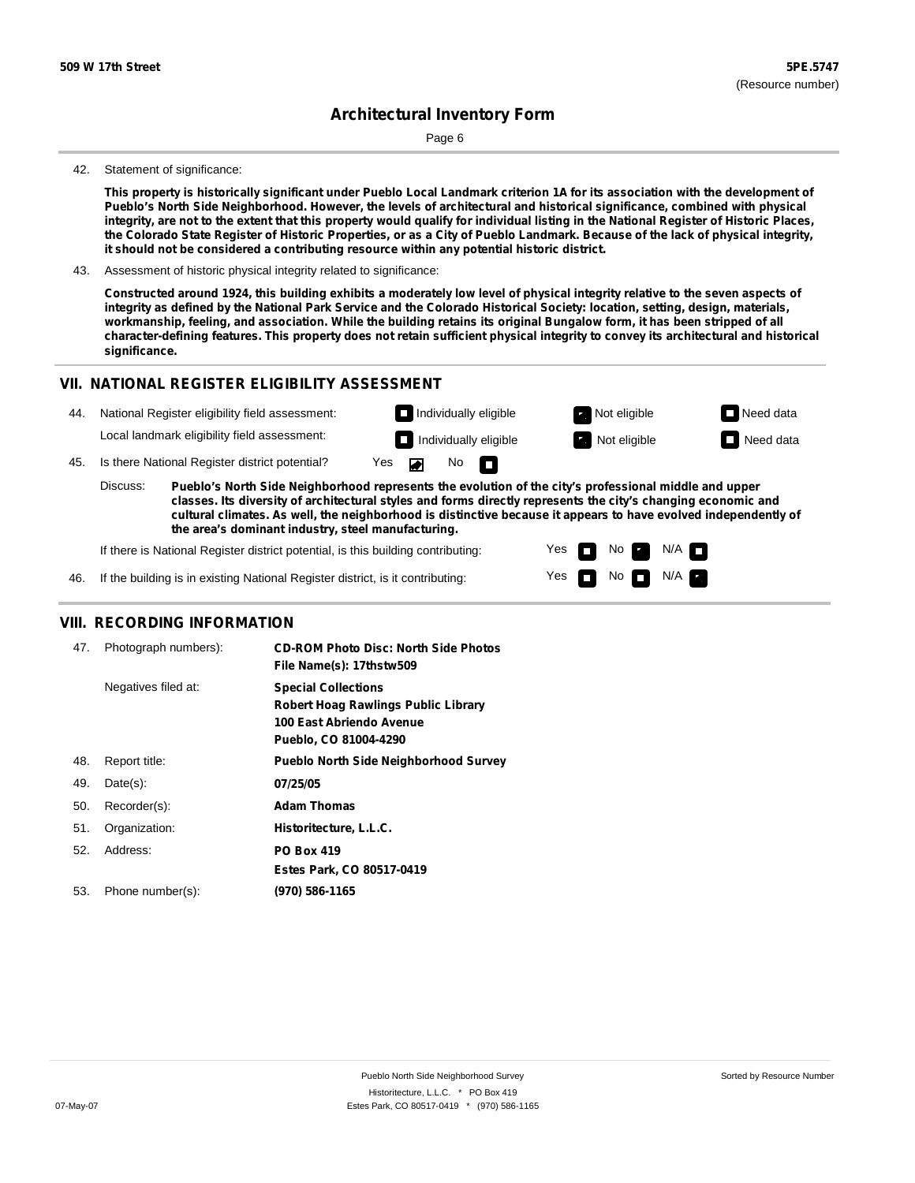Page 6

#### 42. Statement of significance:

This property is historically significant under Pueblo Local Landmark criterion 1A for its association with the development of Pueblo's North Side Neighborhood. However, the levels of architectural and historical significance, combined with physical integrity, are not to the extent that this property would qualify for individual listing in the National Register of Historic Places, the Colorado State Register of Historic Properties, or as a City of Pueblo Landmark. Because of the lack of physical integrity, **it should not be considered a contributing resource within any potential historic district.**

43. Assessment of historic physical integrity related to significance:

Constructed around 1924, this building exhibits a moderately low level of physical integrity relative to the seven aspects of integrity as defined by the National Park Service and the Colorado Historical Society: location, setting, design, materials, workmanship, feeling, and association. While the building retains its original Bungalow form, it has been stripped of all character-defining features. This property does not retain sufficient physical integrity to convey its architectural and historical **significance.**

#### **VII. NATIONAL REGISTER ELIGIBILITY ASSESSMENT**

| 44. | National Register eligibility field assessment: |                                                                                                                                                                                                                        |     |          |                              | $\Box$ Individually eligible | Not eligible        | $\Box$ Need data |
|-----|-------------------------------------------------|------------------------------------------------------------------------------------------------------------------------------------------------------------------------------------------------------------------------|-----|----------|------------------------------|------------------------------|---------------------|------------------|
|     |                                                 | Local landmark eligibility field assessment:                                                                                                                                                                           |     |          |                              | $\Box$ Individually eligible | <b>Not eligible</b> | $\Box$ Need data |
| 45. |                                                 | Is there National Register district potential?                                                                                                                                                                         | Yes | <b>A</b> | $\mathsf{No}$ $\blacksquare$ |                              |                     |                  |
|     | Discuss:                                        | Pueblo's North Side Neighborhood represents the evolution of the city's professional middle and upper<br>classes. Its diversity of architectural styles and forms directly represents the city's changing economic and |     |          |                              |                              |                     |                  |

**classes. Its diversity of architectural styles and forms directly represents the city's changing economic and cultural climates. As well, the neighborhood is distinctive because it appears to have evolved independently of the area's dominant industry, steel manufacturing.**

> Yes Yes

No

 $No$  N/A

 $N/A$   $\Box$ 

If there is National Register district potential, is this building contributing:

46. If the building is in existing National Register district, is it contributing:

### **VIII. RECORDING INFORMATION**

| 47. | Photograph numbers): | <b>CD-ROM Photo Disc: North Side Photos</b><br>File Name(s): 17thstw509                                                       |
|-----|----------------------|-------------------------------------------------------------------------------------------------------------------------------|
|     | Negatives filed at:  | <b>Special Collections</b><br><b>Robert Hoag Rawlings Public Library</b><br>100 East Abriendo Avenue<br>Pueblo, CO 81004-4290 |
| 48. | Report title:        | <b>Pueblo North Side Neighborhood Survey</b>                                                                                  |
| 49. | $Date(s)$ :          | 07/25/05                                                                                                                      |
| 50. | Recorder(s):         | <b>Adam Thomas</b>                                                                                                            |
| 51. | Organization:        | Historitecture, L.L.C.                                                                                                        |
| 52. | Address:             | <b>PO Box 419</b>                                                                                                             |
|     |                      | Estes Park, CO 80517-0419                                                                                                     |
| 53. | Phone number(s):     | (970) 586-1165                                                                                                                |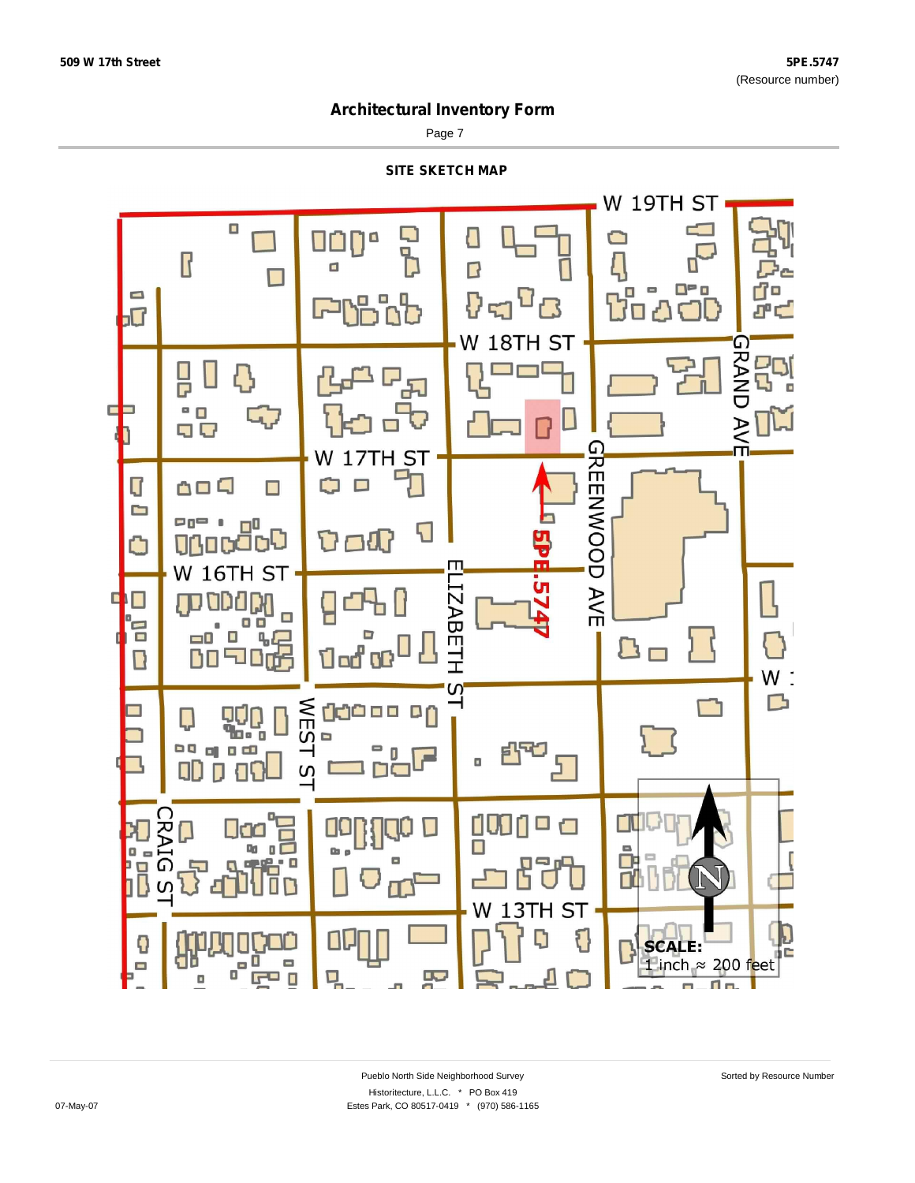Page 7